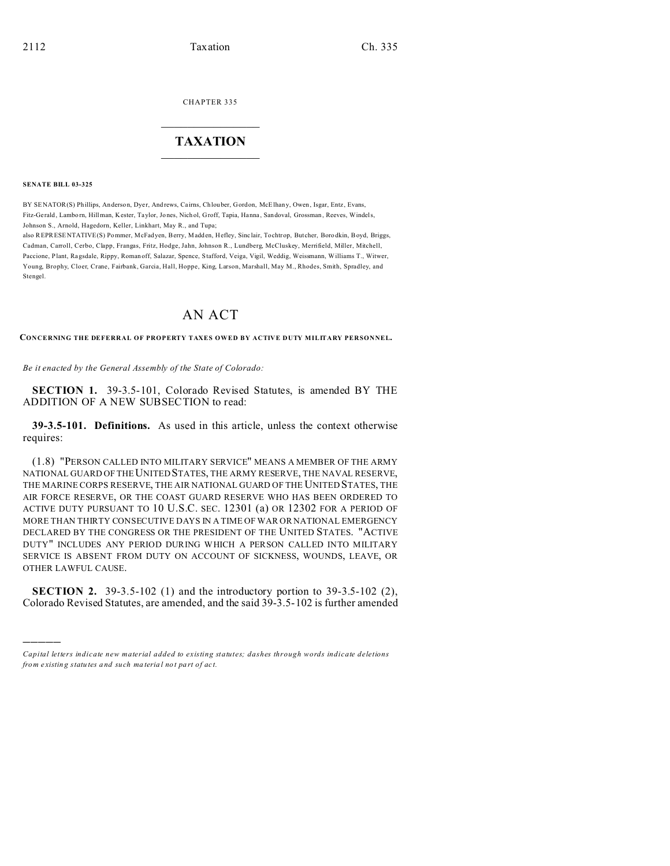**CHAPTER 335** 

## **TAXATION**

**SENATE BILL 03-325** 

BY SENATOR(S) Phillips, Anderson, Dyer, Andrews, Cairns, Chlouber, Gordon, McElhany, Owen, Isgar, Entz, Evans, Fitz-Gerald, Lamborn, Hillman, Kester, Taylor, Jones, Nichol, Groff, Tapia, Hanna, Sandoval, Grossman, Reeves, Windels, Johnson S., Arnold, Hagedorn, Keller, Linkhart, May R., and Tupa;

also REPRESENTATIVE(S) Pommer, McFadyen, Berry, Madden, Hefley, Sinclair, Tochtrop, Butcher, Borodkin, Boyd, Briggs, Cadman, Carroll, Cerbo, Clapp, Frangas, Fritz, Hodge, Jahn, Johnson R., Lundberg, McCluskey, Merrifield, Miller, Mitchell, Paccione, Plant, Ragsdale, Rippy, Roman off, Salazar, Spence, Stafford, Veiga, Vigil, Weddig, Weissmann, Williams T., Witwer, Young, Brophy, Cloer, Crane, Fairbank, Garcia, Hall, Hoppe, King, Larson, Marshall, May M., Rhodes, Smith, Spradley, and Stengel.

## AN ACT

CONCERNING THE DEFERRAL OF PROPERTY TAXES OWED BY ACTIVE DUTY MILITARY PERSONNEL.

Be it enacted by the General Assembly of the State of Colorado:

SECTION 1. 39-3.5-101, Colorado Revised Statutes, is amended BY THE ADDITION OF A NEW SUBSECTION to read:

39-3.5-101. Definitions. As used in this article, unless the context otherwise requires:

(1.8) "PERSON CALLED INTO MILITARY SERVICE" MEANS A MEMBER OF THE ARMY NATIONAL GUARD OF THE UNITED STATES, THE ARMY RESERVE, THE NAVAL RESERVE, THE MARINE CORPS RESERVE, THE AIR NATIONAL GUARD OF THE UNITED STATES, THE AIR FORCE RESERVE, OR THE COAST GUARD RESERVE WHO HAS BEEN ORDERED TO ACTIVE DUTY PURSUANT TO 10 U.S.C. SEC. 12301 (a) OR 12302 FOR A PERIOD OF MORE THAN THIRTY CONSECUTIVE DAYS IN A TIME OF WAR OR NATIONAL EMERGENCY DECLARED BY THE CONGRESS OR THE PRESIDENT OF THE UNITED STATES. "ACTIVE DUTY" INCLUDES ANY PERIOD DURING WHICH A PERSON CALLED INTO MILITARY SERVICE IS ABSENT FROM DUTY ON ACCOUNT OF SICKNESS, WOUNDS, LEAVE, OR OTHER LAWFUL CAUSE.

**SECTION 2.** 39-3.5-102 (1) and the introductory portion to  $39-3.5-102$  (2), Colorado Revised Statutes, are amended, and the said 39-3.5-102 is further amended

Capital letters indicate new material added to existing statutes; dashes through words indicate deletions from existing statutes and such material not part of act.